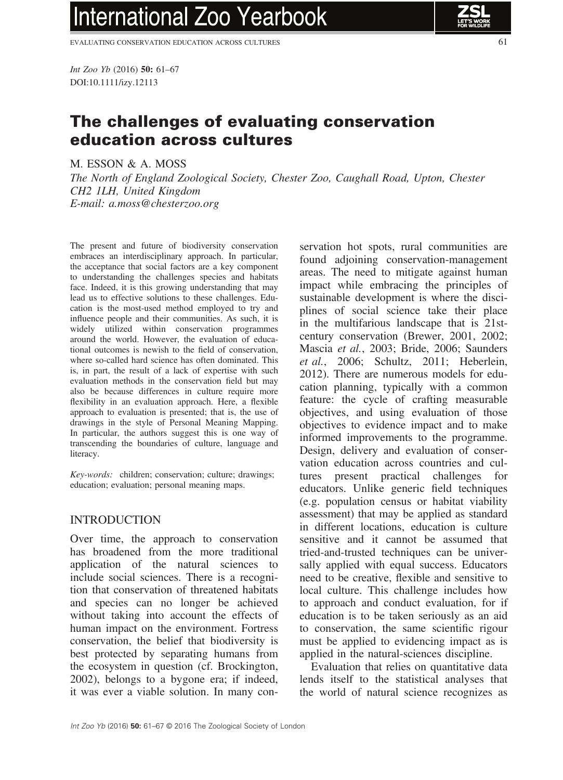# **International Zoo Yearbook**

EVALUATING CONSERVATION EDUCATION ACROSS CULTURES 61

Int Zoo Yb (2016) 50: 61–67 DOI:10.1111/izy.12113

## The challenges of evaluating conservation education across cultures

M. ESSON & A. MOSS

The North of England Zoological Society, Chester Zoo, Caughall Road, Upton, Chester CH2 1LH, United Kingdom E-mail: a.moss@chesterzoo.org

The present and future of biodiversity conservation embraces an interdisciplinary approach. In particular, the acceptance that social factors are a key component to understanding the challenges species and habitats face. Indeed, it is this growing understanding that may lead us to effective solutions to these challenges. Education is the most-used method employed to try and influence people and their communities. As such, it is widely utilized within conservation programmes around the world. However, the evaluation of educational outcomes is newish to the field of conservation, where so-called hard science has often dominated. This is, in part, the result of a lack of expertise with such evaluation methods in the conservation field but may also be because differences in culture require more flexibility in an evaluation approach. Here, a flexible approach to evaluation is presented; that is, the use of drawings in the style of Personal Meaning Mapping. In particular, the authors suggest this is one way of transcending the boundaries of culture, language and literacy.

Key-words: children; conservation; culture; drawings; education; evaluation; personal meaning maps.

#### INTRODUCTION

Over time, the approach to conservation has broadened from the more traditional application of the natural sciences to include social sciences. There is a recognition that conservation of threatened habitats and species can no longer be achieved without taking into account the effects of human impact on the environment. Fortress conservation, the belief that biodiversity is best protected by separating humans from the ecosystem in question (cf. Brockington, 2002), belongs to a bygone era; if indeed, it was ever a viable solution. In many conservation hot spots, rural communities are found adjoining conservation-management areas. The need to mitigate against human impact while embracing the principles of sustainable development is where the disciplines of social science take their place in the multifarious landscape that is 21stcentury conservation (Brewer, 2001, 2002; Mascia et al., 2003; Bride, 2006; Saunders et al., 2006; Schultz, 2011; Heberlein, 2012). There are numerous models for education planning, typically with a common feature: the cycle of crafting measurable objectives, and using evaluation of those objectives to evidence impact and to make informed improvements to the programme. Design, delivery and evaluation of conservation education across countries and cultures present practical challenges for educators. Unlike generic field techniques (e.g. population census or habitat viability assessment) that may be applied as standard in different locations, education is culture sensitive and it cannot be assumed that tried-and-trusted techniques can be universally applied with equal success. Educators need to be creative, flexible and sensitive to local culture. This challenge includes how to approach and conduct evaluation, for if education is to be taken seriously as an aid to conservation, the same scientific rigour must be applied to evidencing impact as is applied in the natural-sciences discipline.

Evaluation that relies on quantitative data lends itself to the statistical analyses that the world of natural science recognizes as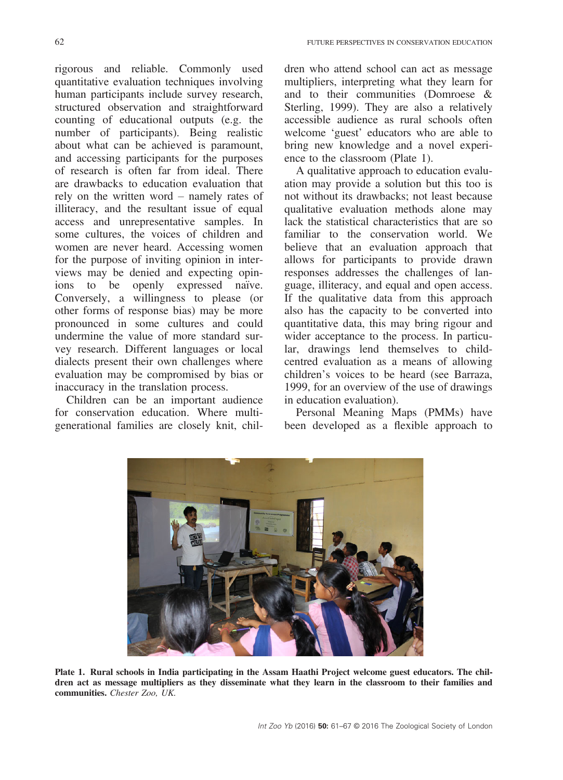rigorous and reliable. Commonly used quantitative evaluation techniques involving human participants include survey research, structured observation and straightforward counting of educational outputs (e.g. the number of participants). Being realistic about what can be achieved is paramount, and accessing participants for the purposes of research is often far from ideal. There are drawbacks to education evaluation that rely on the written word – namely rates of illiteracy, and the resultant issue of equal access and unrepresentative samples. In some cultures, the voices of children and women are never heard. Accessing women for the purpose of inviting opinion in interviews may be denied and expecting opinions to be openly expressed naïve. Conversely, a willingness to please (or other forms of response bias) may be more pronounced in some cultures and could undermine the value of more standard survey research. Different languages or local dialects present their own challenges where evaluation may be compromised by bias or inaccuracy in the translation process.

Children can be an important audience for conservation education. Where multigenerational families are closely knit, children who attend school can act as message multipliers, interpreting what they learn for and to their communities (Domroese & Sterling, 1999). They are also a relatively accessible audience as rural schools often welcome 'guest' educators who are able to bring new knowledge and a novel experience to the classroom (Plate 1).

A qualitative approach to education evaluation may provide a solution but this too is not without its drawbacks; not least because qualitative evaluation methods alone may lack the statistical characteristics that are so familiar to the conservation world. We believe that an evaluation approach that allows for participants to provide drawn responses addresses the challenges of language, illiteracy, and equal and open access. If the qualitative data from this approach also has the capacity to be converted into quantitative data, this may bring rigour and wider acceptance to the process. In particular, drawings lend themselves to childcentred evaluation as a means of allowing children's voices to be heard (see Barraza, 1999, for an overview of the use of drawings in education evaluation).

Personal Meaning Maps (PMMs) have been developed as a flexible approach to



Plate 1. Rural schools in India participating in the Assam Haathi Project welcome guest educators. The children act as message multipliers as they disseminate what they learn in the classroom to their families and communities. Chester Zoo, UK.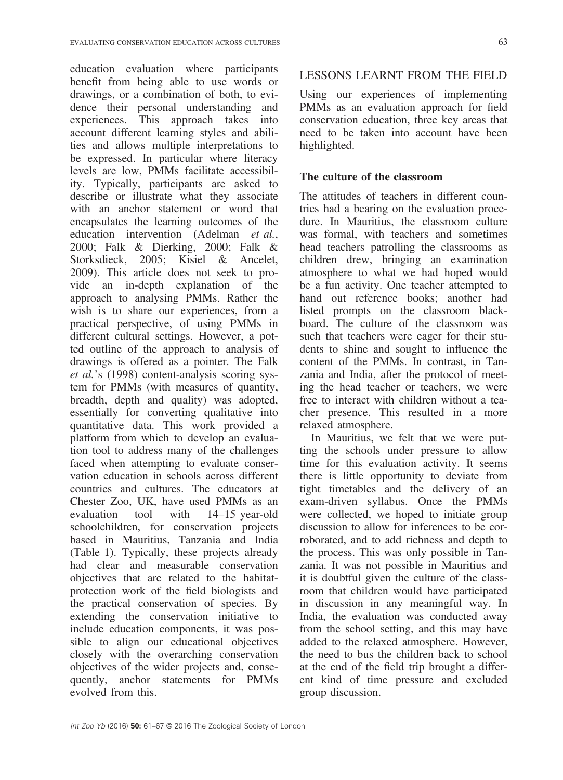education evaluation where participants benefit from being able to use words or drawings, or a combination of both, to evidence their personal understanding and experiences. This approach takes into account different learning styles and abilities and allows multiple interpretations to be expressed. In particular where literacy levels are low, PMMs facilitate accessibility. Typically, participants are asked to describe or illustrate what they associate with an anchor statement or word that encapsulates the learning outcomes of the education intervention (Adelman et al., 2000; Falk & Dierking, 2000; Falk & Storksdieck, 2005; Kisiel & Ancelet, 2009). This article does not seek to provide an in-depth explanation of the approach to analysing PMMs. Rather the wish is to share our experiences, from a practical perspective, of using PMMs in different cultural settings. However, a potted outline of the approach to analysis of drawings is offered as a pointer. The Falk et al.'s (1998) content-analysis scoring system for PMMs (with measures of quantity, breadth, depth and quality) was adopted, essentially for converting qualitative into quantitative data. This work provided a platform from which to develop an evaluation tool to address many of the challenges faced when attempting to evaluate conservation education in schools across different countries and cultures. The educators at Chester Zoo, UK, have used PMMs as an evaluation tool with 14–15 year-old schoolchildren, for conservation projects based in Mauritius, Tanzania and India (Table 1). Typically, these projects already had clear and measurable conservation objectives that are related to the habitatprotection work of the field biologists and the practical conservation of species. By extending the conservation initiative to include education components, it was possible to align our educational objectives closely with the overarching conservation objectives of the wider projects and, consequently, anchor statements for PMMs evolved from this.

### LESSONS LEARNT FROM THE FIELD

Using our experiences of implementing PMMs as an evaluation approach for field conservation education, three key areas that need to be taken into account have been highlighted.

#### The culture of the classroom

The attitudes of teachers in different countries had a bearing on the evaluation procedure. In Mauritius, the classroom culture was formal, with teachers and sometimes head teachers patrolling the classrooms as children drew, bringing an examination atmosphere to what we had hoped would be a fun activity. One teacher attempted to hand out reference books; another had listed prompts on the classroom blackboard. The culture of the classroom was such that teachers were eager for their students to shine and sought to influence the content of the PMMs. In contrast, in Tanzania and India, after the protocol of meeting the head teacher or teachers, we were free to interact with children without a teacher presence. This resulted in a more relaxed atmosphere.

In Mauritius, we felt that we were putting the schools under pressure to allow time for this evaluation activity. It seems there is little opportunity to deviate from tight timetables and the delivery of an exam-driven syllabus. Once the PMMs were collected, we hoped to initiate group discussion to allow for inferences to be corroborated, and to add richness and depth to the process. This was only possible in Tanzania. It was not possible in Mauritius and it is doubtful given the culture of the classroom that children would have participated in discussion in any meaningful way. In India, the evaluation was conducted away from the school setting, and this may have added to the relaxed atmosphere. However, the need to bus the children back to school at the end of the field trip brought a different kind of time pressure and excluded group discussion.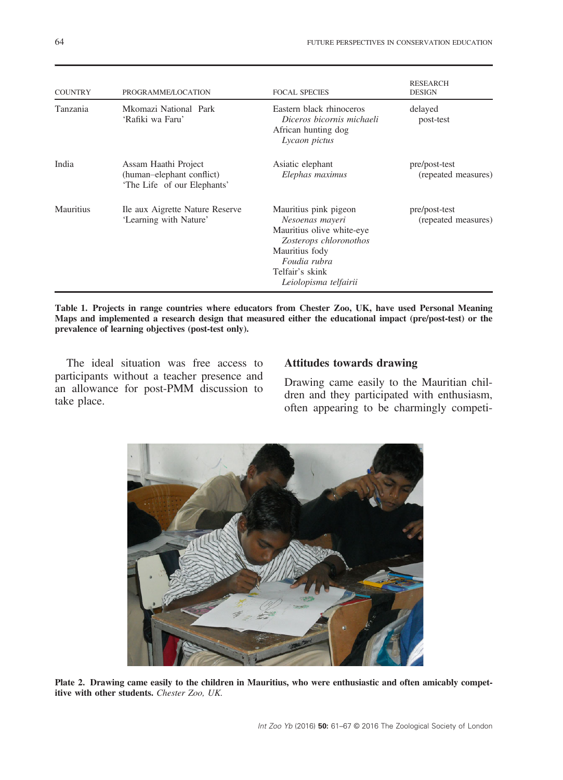| <b>COUNTRY</b> | PROGRAMME/LOCATION                                                               | <b>FOCAL SPECIES</b>                                                                                                                                                          | <b>RESEARCH</b><br><b>DESIGN</b>     |
|----------------|----------------------------------------------------------------------------------|-------------------------------------------------------------------------------------------------------------------------------------------------------------------------------|--------------------------------------|
| Tanzania       | Mkomazi National Park<br>'Rafiki wa Faru'                                        | Eastern black rhinoceros<br>Diceros bicornis michaeli<br>African hunting dog<br>Lycaon pictus                                                                                 | delayed<br>post-test                 |
| India          | Assam Haathi Project<br>(human-elephant conflict)<br>'The Life of our Elephants' | Asiatic elephant<br>Elephas maximus                                                                                                                                           | pre/post-test<br>(repeated measures) |
| Mauritius      | Ile aux Aigrette Nature Reserve<br>'Learning with Nature'                        | Mauritius pink pigeon<br>Nesoenas mayeri<br>Mauritius olive white-eye<br>Zosterops chloronothos<br>Mauritius fody<br>Foudia rubra<br>Telfair's skink<br>Leiolopisma telfairii | pre/post-test<br>(repeated measures) |

Table 1. Projects in range countries where educators from Chester Zoo, UK, have used Personal Meaning Maps and implemented a research design that measured either the educational impact (pre/post-test) or the prevalence of learning objectives (post-test only).

The ideal situation was free access to participants without a teacher presence and an allowance for post-PMM discussion to take place.

#### Attitudes towards drawing

Drawing came easily to the Mauritian children and they participated with enthusiasm, often appearing to be charmingly competi-



Plate 2. Drawing came easily to the children in Mauritius, who were enthusiastic and often amicably competitive with other students. Chester Zoo, UK.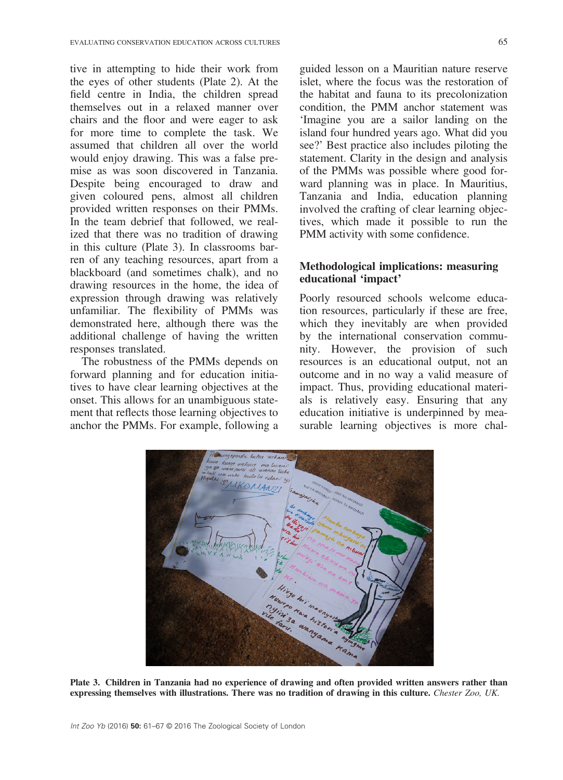tive in attempting to hide their work from the eyes of other students (Plate 2). At the field centre in India, the children spread themselves out in a relaxed manner over chairs and the floor and were eager to ask for more time to complete the task. We assumed that children all over the world would enjoy drawing. This was a false premise as was soon discovered in Tanzania. Despite being encouraged to draw and given coloured pens, almost all children provided written responses on their PMMs. In the team debrief that followed, we realized that there was no tradition of drawing in this culture (Plate 3). In classrooms barren of any teaching resources, apart from a blackboard (and sometimes chalk), and no drawing resources in the home, the idea of expression through drawing was relatively unfamiliar. The flexibility of PMMs was demonstrated here, although there was the additional challenge of having the written responses translated.

The robustness of the PMMs depends on forward planning and for education initiatives to have clear learning objectives at the onset. This allows for an unambiguous statement that reflects those learning objectives to anchor the PMMs. For example, following a guided lesson on a Mauritian nature reserve islet, where the focus was the restoration of the habitat and fauna to its precolonization condition, the PMM anchor statement was 'Imagine you are a sailor landing on the island four hundred years ago. What did you see?' Best practice also includes piloting the statement. Clarity in the design and analysis of the PMMs was possible where good forward planning was in place. In Mauritius, Tanzania and India, education planning involved the crafting of clear learning objectives, which made it possible to run the PMM activity with some confidence.

#### Methodological implications: measuring educational 'impact'

Poorly resourced schools welcome education resources, particularly if these are free, which they inevitably are when provided by the international conservation community. However, the provision of such resources is an educational output, not an outcome and in no way a valid measure of impact. Thus, providing educational materials is relatively easy. Ensuring that any education initiative is underpinned by measurable learning objectives is more chal-



Plate 3. Children in Tanzania had no experience of drawing and often provided written answers rather than expressing themselves with illustrations. There was no tradition of drawing in this culture. Chester Zoo, UK.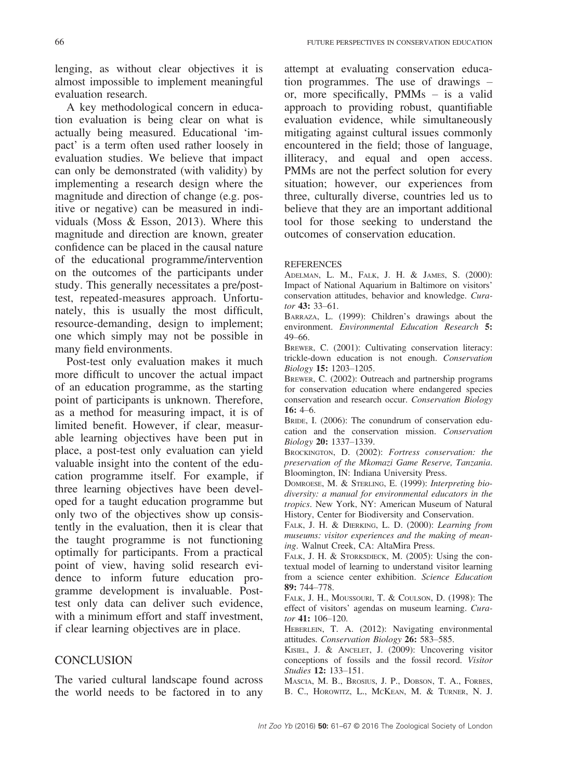lenging, as without clear objectives it is almost impossible to implement meaningful evaluation research.

A key methodological concern in education evaluation is being clear on what is actually being measured. Educational 'impact' is a term often used rather loosely in evaluation studies. We believe that impact can only be demonstrated (with validity) by implementing a research design where the magnitude and direction of change (e.g. positive or negative) can be measured in individuals (Moss & Esson, 2013). Where this magnitude and direction are known, greater confidence can be placed in the causal nature of the educational programme/intervention on the outcomes of the participants under study. This generally necessitates a pre/posttest, repeated-measures approach. Unfortunately, this is usually the most difficult, resource-demanding, design to implement; one which simply may not be possible in many field environments.

Post-test only evaluation makes it much more difficult to uncover the actual impact of an education programme, as the starting point of participants is unknown. Therefore, as a method for measuring impact, it is of limited benefit. However, if clear, measurable learning objectives have been put in place, a post-test only evaluation can yield valuable insight into the content of the education programme itself. For example, if three learning objectives have been developed for a taught education programme but only two of the objectives show up consistently in the evaluation, then it is clear that the taught programme is not functioning optimally for participants. From a practical point of view, having solid research evidence to inform future education programme development is invaluable. Posttest only data can deliver such evidence, with a minimum effort and staff investment, if clear learning objectives are in place.

#### **CONCLUSION**

The varied cultural landscape found across the world needs to be factored in to any attempt at evaluating conservation education programmes. The use of drawings – or, more specifically, PMMs – is a valid approach to providing robust, quantifiable evaluation evidence, while simultaneously mitigating against cultural issues commonly encountered in the field; those of language, illiteracy, and equal and open access. PMMs are not the perfect solution for every situation; however, our experiences from three, culturally diverse, countries led us to believe that they are an important additional tool for those seeking to understand the outcomes of conservation education.

#### **REFERENCES**

ADELMAN, L. M., FALK, J. H. & JAMES, S. (2000): Impact of National Aquarium in Baltimore on visitors' conservation attitudes, behavior and knowledge. Curator 43: 33–61.

BARRAZA, L. (1999): Children's drawings about the environment. Environmental Education Research 5: 49–66.

BREWER, C. (2001): Cultivating conservation literacy: trickle-down education is not enough. Conservation Biology 15: 1203–1205.

BREWER, C. (2002): Outreach and partnership programs for conservation education where endangered species conservation and research occur. Conservation Biology 16: 4–6.

BRIDE, I. (2006): The conundrum of conservation education and the conservation mission. Conservation Biology 20: 1337–1339.

BROCKINGTON, D. (2002): Fortress conservation: the preservation of the Mkomazi Game Reserve, Tanzania. Bloomington, IN: Indiana University Press.

DOMROESE, M. & STERLING, E. (1999): Interpreting biodiversity: a manual for environmental educators in the tropics. New York, NY: American Museum of Natural History, Center for Biodiversity and Conservation.

FALK, J. H. & DIERKING, L. D. (2000): Learning from museums: visitor experiences and the making of meaning. Walnut Creek, CA: AltaMira Press.

FALK, J. H. & STORKSDIECK, M. (2005): Using the contextual model of learning to understand visitor learning from a science center exhibition. Science Education 89: 744–778.

FALK, J. H., MOUSSOURI, T. & COULSON, D. (1998): The effect of visitors' agendas on museum learning. Curator 41: 106-120.

HEBERLEIN, T. A. (2012): Navigating environmental attitudes. Conservation Biology 26: 583–585.

KISIEL, J. & ANCELET, J. (2009): Uncovering visitor conceptions of fossils and the fossil record. Visitor Studies 12: 133–151.

MASCIA, M. B., BROSIUS, J. P., DOBSON, T. A., FORBES, B. C., HOROWITZ, L., MCKEAN, M. & TURNER, N. J.